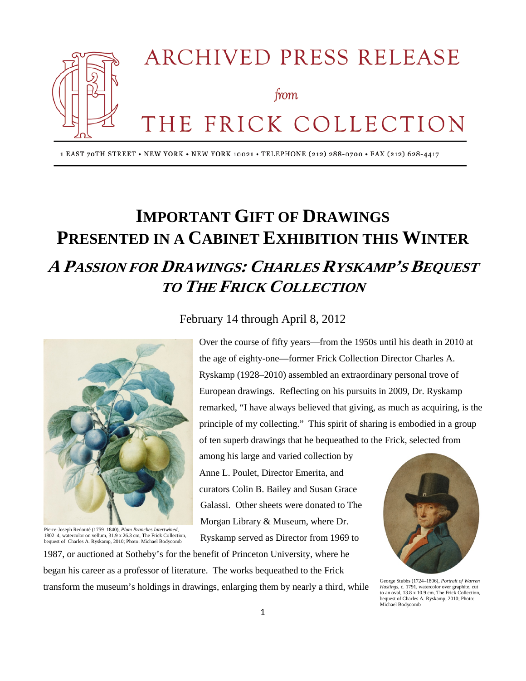

1 EAST 70TH STREET . NEW YORK . NEW YORK 10021 . TELEPHONE (212) 288-0700 . FAX (212) 628-4417

# **IMPORTANT GIFT OF DRAWINGS PRESENTED IN A CABINET EXHIBITION THIS WINTER A PASSION FOR DRAWINGS: CHARLES RYSKAMP'S BEQUEST TO THE FRICK COLLECTION**



Pierre-Joseph Redouté (1759–1840), *Plum Branches Intertwined*, 1802–4, watercolor on vellum, 31.9 x 26.3 cm, The Frick Collection, bequest of Charles A. Ryskamp, 2010; Photo: Michael Bodycomb

### February 14 through April 8, 2012

Over the course of fifty years—from the 1950s until his death in 2010 at the age of eighty-one—former Frick Collection Director Charles A. Ryskamp (1928–2010) assembled an extraordinary personal trove of European drawings. Reflecting on his pursuits in 2009, Dr. Ryskamp remarked, "I have always believed that giving, as much as acquiring, is the principle of my collecting." This spirit of sharing is embodied in a group of ten superb drawings that he bequeathed to the Frick, selected from

among his large and varied collection by Anne L. Poulet, Director Emerita, and curators Colin B. Bailey and Susan Grace Galassi. Other sheets were donated to The Morgan Library & Museum, where Dr. Ryskamp served as Director from 1969 to



George Stubbs (1724–1806), *Portrait of Warren Hastings*, c. 1791, watercolor over graphite, cut to an oval, 13.8 x 10.9 cm, The Frick Collection, bequest of Charles A. Ryskamp, 2010; Photo: Michael Bodycomb

1987, or auctioned at Sotheby's for the benefit of Princeton University, where he began his career as a professor of literature. The works bequeathed to the Frick transform the museum's holdings in drawings, enlarging them by nearly a third, while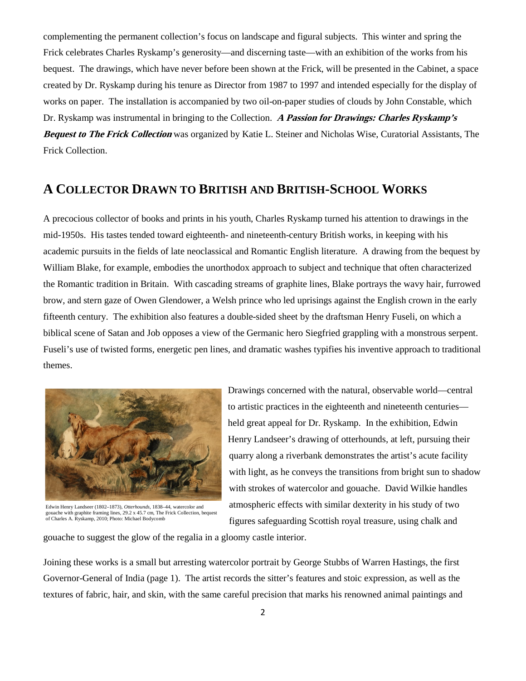complementing the permanent collection's focus on landscape and figural subjects. This winter and spring the Frick celebrates Charles Ryskamp's generosity—and discerning taste—with an exhibition of the works from his bequest. The drawings, which have never before been shown at the Frick, will be presented in the Cabinet, a space created by Dr. Ryskamp during his tenure as Director from 1987 to 1997 and intended especially for the display of works on paper. The installation is accompanied by two oil-on-paper studies of clouds by John Constable, which Dr. Ryskamp was instrumental in bringing to the Collection. **A Passion for Drawings: Charles Ryskamp's Bequest to The Frick Collection** was organized by Katie L. Steiner and Nicholas Wise, Curatorial Assistants, The Frick Collection.

## **A COLLECTOR DRAWN TO BRITISH AND BRITISH-SCHOOL WORKS**

A precocious collector of books and prints in his youth, Charles Ryskamp turned his attention to drawings in the mid-1950s. His tastes tended toward eighteenth- and nineteenth-century British works, in keeping with his academic pursuits in the fields of late neoclassical and Romantic English literature. A drawing from the bequest by William Blake, for example, embodies the unorthodox approach to subject and technique that often characterized the Romantic tradition in Britain. With cascading streams of graphite lines, Blake portrays the wavy hair, furrowed brow, and stern gaze of Owen Glendower, a Welsh prince who led uprisings against the English crown in the early fifteenth century. The exhibition also features a double-sided sheet by the draftsman Henry Fuseli, on which a biblical scene of Satan and Job opposes a view of the Germanic hero Siegfried grappling with a monstrous serpent. Fuseli's use of twisted forms, energetic pen lines, and dramatic washes typifies his inventive approach to traditional themes.



Edwin Henry Landseer (1802–1873), *Otterhounds*, 1838–44, watercolor and gouache with graphite framing lines, 29.2 x 45.7 cm, The Frick Collection, bequest of Charles A. Ryskamp, 2010; Photo: Michael Bodycomb

Drawings concerned with the natural, observable world—central to artistic practices in the eighteenth and nineteenth centuries held great appeal for Dr. Ryskamp. In the exhibition, Edwin Henry Landseer's drawing of otterhounds, at left, pursuing their quarry along a riverbank demonstrates the artist's acute facility with light, as he conveys the transitions from bright sun to shadow with strokes of watercolor and gouache. David Wilkie handles atmospheric effects with similar dexterity in his study of two figures safeguarding Scottish royal treasure, using chalk and

gouache to suggest the glow of the regalia in a gloomy castle interior.

Joining these works is a small but arresting watercolor portrait by George Stubbs of Warren Hastings, the first Governor-General of India (page 1). The artist records the sitter's features and stoic expression, as well as the textures of fabric, hair, and skin, with the same careful precision that marks his renowned animal paintings and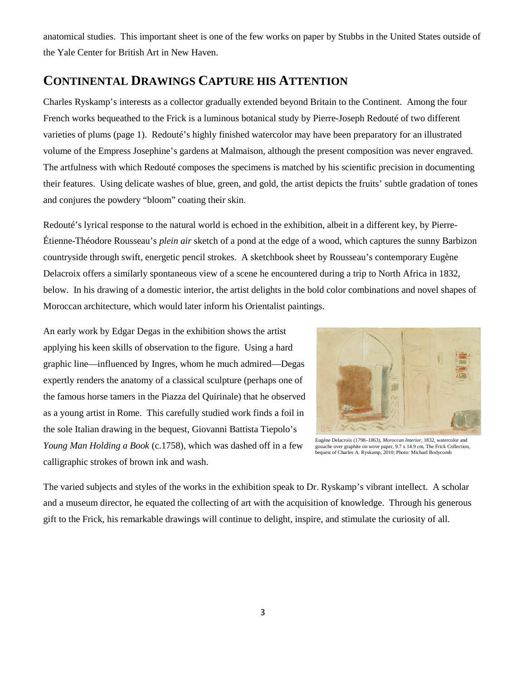anatomical studies. This important sheet is one of the few works on paper by Stubbs in the United States outside of the Yale Center for British Art in New Haven.

### **CONTINENTAL DRAWINGS CAPTURE HIS ATTENTION**

Charles Ryskamp's interests as a collector gradually extended beyond Britain to the Continent. Among the four French works bequeathed to the Frick is a luminous botanical study by Pierre-Joseph Redouté of two different varieties of plums (page 1). Redouté's highly finished watercolor may have been preparatory for an illustrated volume of the Empress Josephine's gardens at Malmaison, although the present composition was never engraved. The artfulness with which Redouté composes the specimens is matched by his scientific precision in documenting their features. Using delicate washes of blue, green, and gold, the artist depicts the fruits' subtle gradation of tones and conjures the powdery "bloom" coating their skin.

Redouté's lyrical response to the natural world is echoed in the exhibition, albeit in a different key, by Pierre-Étienne-Théodore Rousseau's *plein air* sketch of a pond at the edge of a wood, which captures the sunny Barbizon countryside through swift, energetic pencil strokes. A sketchbook sheet by Rousseau's contemporary Eugène Delacroix offers a similarly spontaneous view of a scene he encountered during a trip to North Africa in 1832, below. In his drawing of a domestic interior, the artist delights in the bold color combinations and novel shapes of Moroccan architecture, which would later inform his Orientalist paintings.

An early work by Edgar Degas in the exhibition shows the artist applying his keen skills of observation to the figure. Using a hard graphic line—influenced by Ingres, whom he much admired—Degas expertly renders the anatomy of a classical sculpture (perhaps one of the famous horse tamers in the Piazza del Quirinale) that he observed as a young artist in Rome. This carefully studied work finds a foil in the sole Italian drawing in the bequest, Giovanni Battista Tiepolo's *Young Man Holding a Book* (c.1758), which was dashed off in a few calligraphic strokes of brown ink and wash.



Eugène Delacroix (1798–1863), *Moroccan Interior*, 1832, watercolor and gouache over graphite on wove paper, 9.7 x 14.9 cm, The Frick Collection, bequest of Charles A. Ryskamp, 2010; Photo: Michael Bodycomb

The varied subjects and styles of the works in the exhibition speak to Dr. Ryskamp's vibrant intellect. A scholar and a museum director, he equated the collecting of art with the acquisition of knowledge. Through his generous gift to the Frick, his remarkable drawings will continue to delight, inspire, and stimulate the curiosity of all.